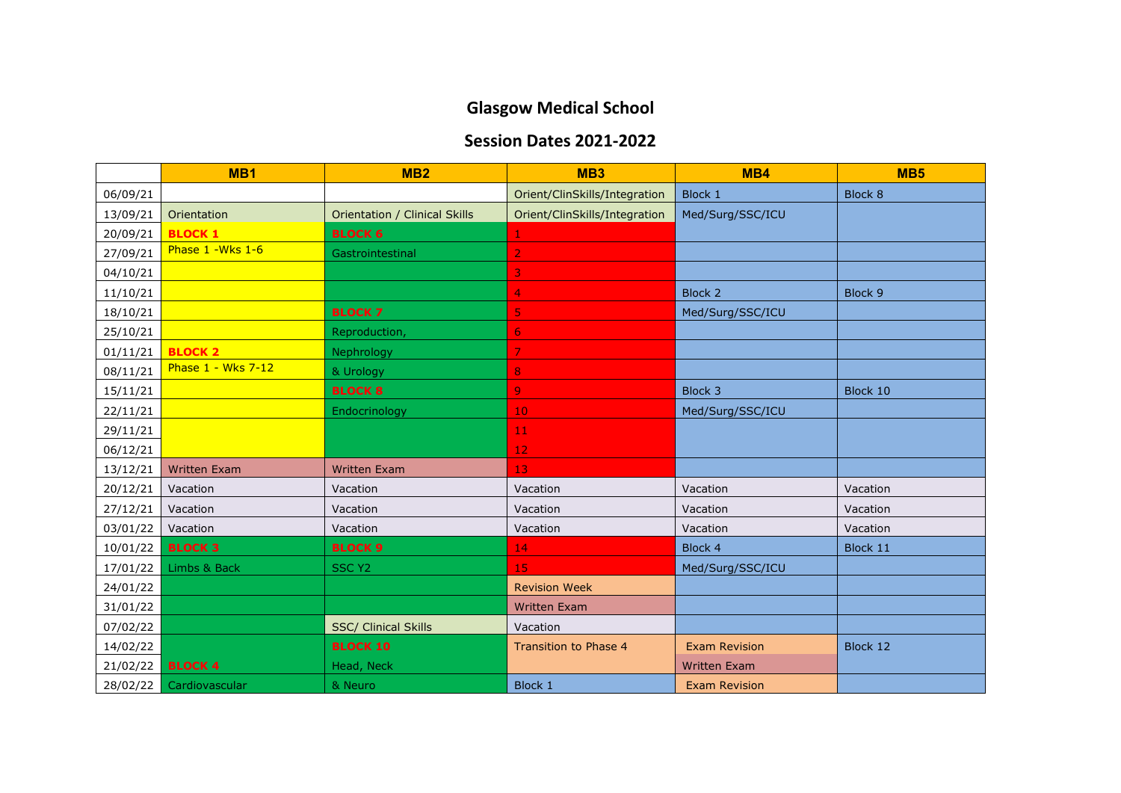## **Glasgow Medical School**

## **Session Dates 2021-2022**

|          | MB <sub>1</sub>     | MB <sub>2</sub>               | MB <sub>3</sub>               | MB4                  | MB <sub>5</sub> |
|----------|---------------------|-------------------------------|-------------------------------|----------------------|-----------------|
| 06/09/21 |                     |                               | Orient/ClinSkills/Integration | <b>Block 1</b>       | <b>Block 8</b>  |
| 13/09/21 | Orientation         | Orientation / Clinical Skills | Orient/ClinSkills/Integration | Med/Surg/SSC/ICU     |                 |
| 20/09/21 | <b>BLOCK 1</b>      | <b>BLOCK 6</b>                |                               |                      |                 |
| 27/09/21 | Phase 1 - Wks 1-6   | Gastrointestinal              | $\overline{2}$                |                      |                 |
| 04/10/21 |                     |                               | 3                             |                      |                 |
| 11/10/21 |                     |                               | 4                             | <b>Block 2</b>       | Block 9         |
| 18/10/21 |                     | <b>BLOCK 7</b>                | 5                             | Med/Surg/SSC/ICU     |                 |
| 25/10/21 |                     | Reproduction,                 | 6                             |                      |                 |
| 01/11/21 | <b>BLOCK 2</b>      | Nephrology                    | 7                             |                      |                 |
| 08/11/21 | Phase 1 - Wks 7-12  | & Urology                     | 8                             |                      |                 |
| 15/11/21 |                     | <b>BLOCK 8</b>                | 9                             | Block 3              | Block 10        |
| 22/11/21 |                     | Endocrinology                 | 10                            | Med/Surg/SSC/ICU     |                 |
| 29/11/21 |                     |                               | 11 <sub>1</sub>               |                      |                 |
| 06/12/21 |                     |                               | 12                            |                      |                 |
| 13/12/21 | <b>Written Exam</b> | <b>Written Exam</b>           | 13                            |                      |                 |
| 20/12/21 | Vacation            | Vacation                      | Vacation                      | Vacation             | Vacation        |
| 27/12/21 | Vacation            | Vacation                      | Vacation                      | Vacation             | Vacation        |
| 03/01/22 | Vacation            | Vacation                      | Vacation                      | Vacation             | Vacation        |
| 10/01/22 | <b>BLOCK 3</b>      | <b>BLOCK 9</b>                | 14                            | Block 4              | Block 11        |
| 17/01/22 | Limbs & Back        | <b>SSC Y2</b>                 | 15                            | Med/Surg/SSC/ICU     |                 |
| 24/01/22 |                     |                               | <b>Revision Week</b>          |                      |                 |
| 31/01/22 |                     |                               | <b>Written Exam</b>           |                      |                 |
| 07/02/22 |                     | <b>SSC/ Clinical Skills</b>   | Vacation                      |                      |                 |
| 14/02/22 |                     | <b>BLOCK 10</b>               | Transition to Phase 4         | <b>Exam Revision</b> | Block 12        |
| 21/02/22 | <b>BLOCK 4</b>      | Head, Neck                    |                               | <b>Written Exam</b>  |                 |
| 28/02/22 | Cardiovascular      | & Neuro                       | Block 1                       | <b>Exam Revision</b> |                 |